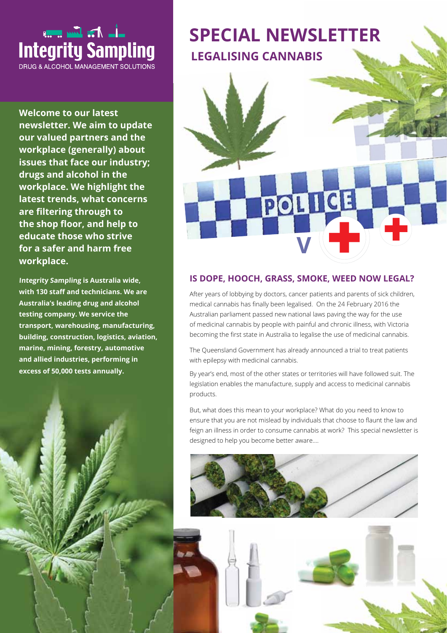

**Welcome to our latest newsletter. We aim to update our valued partners and the workplace (generally) about issues that face our industry; drugs and alcohol in the workplace. We highlight the latest trends, what concerns are fltering through to**  the shop floor, and help to **educate those who strive for a safer and harm free workplace.** 

**Integrity Sampling is Australia wide,**  with 130 staff and technicians. We are **Australia's leading drug and alcohol testing company. We service the transport, warehousing, manufacturing, building, construction, logistics, aviation, marine, mining, forestry, automotive and allied industries, performing in excess of 50,000 tests annually.** 





# **IS DOPE, HOOCH, GRASS, SMOKE, WEED NOW LEGAL?**

After years of lobbying by doctors, cancer patients and parents of sick children, medical cannabis has fnally been legalised. On the 24 February 2016 the Australian parliament passed new national laws paving the way for the use of medicinal cannabis by people with painful and chronic illness, with Victoria becoming the frst state in Australia to legalise the use of medicinal cannabis.

The Queensland Government has already announced a trial to treat patients with epilepsy with medicinal cannabis.

By year's end, most of the other states or territories will have followed suit. The legislation enables the manufacture, supply and access to medicinal cannabis products.

But, what does this mean to your workplace? What do you need to know to ensure that you are not mislead by individuals that choose to faunt the law and feign an illness in order to consume cannabis at work? This special newsletter is designed to help you become better aware….